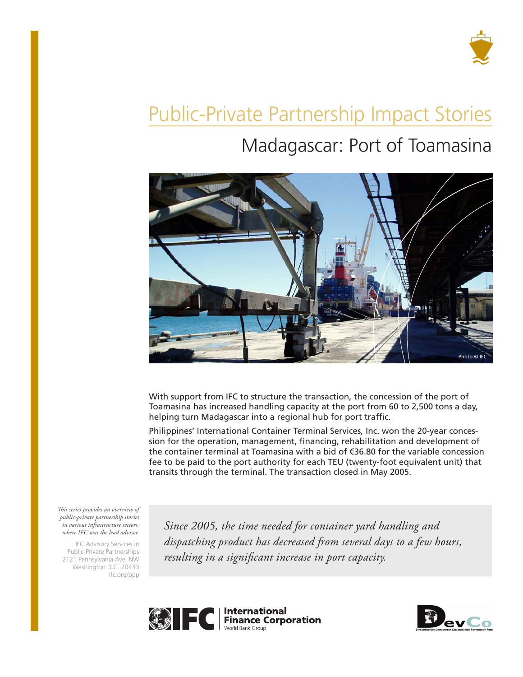

# Public-Private Partnership Impact Stories

# Madagascar: Port of Toamasina



With support from IFC to structure the transaction, the concession of the port of Toamasina has increased handling capacity at the port from 60 to 2,500 tons a day, helping turn Madagascar into a regional hub for port traffic.

Philippines' International Container Terminal Services, Inc. won the 20-year concession for the operation, management, financing, rehabilitation and development of the container terminal at Toamasina with a bid of €36.80 for the variable concession fee to be paid to the port authority for each TEU (twenty-foot equivalent unit) that transits through the terminal. The transaction closed in May 2005.

*This series provides an overview of public-private partnership stories in various infrastructure sectors, where IFC was the lead advisor.* 

IFC Advisory Services in Public-Private Partnerships 2121 Pennsylvania Ave. NW Washington D.C. 20433 ifc.org/ppp

*Since 2005, the time needed for container yard handling and dispatching product has decreased from several days to a few hours, resulting in a significant increase in port capacity.*